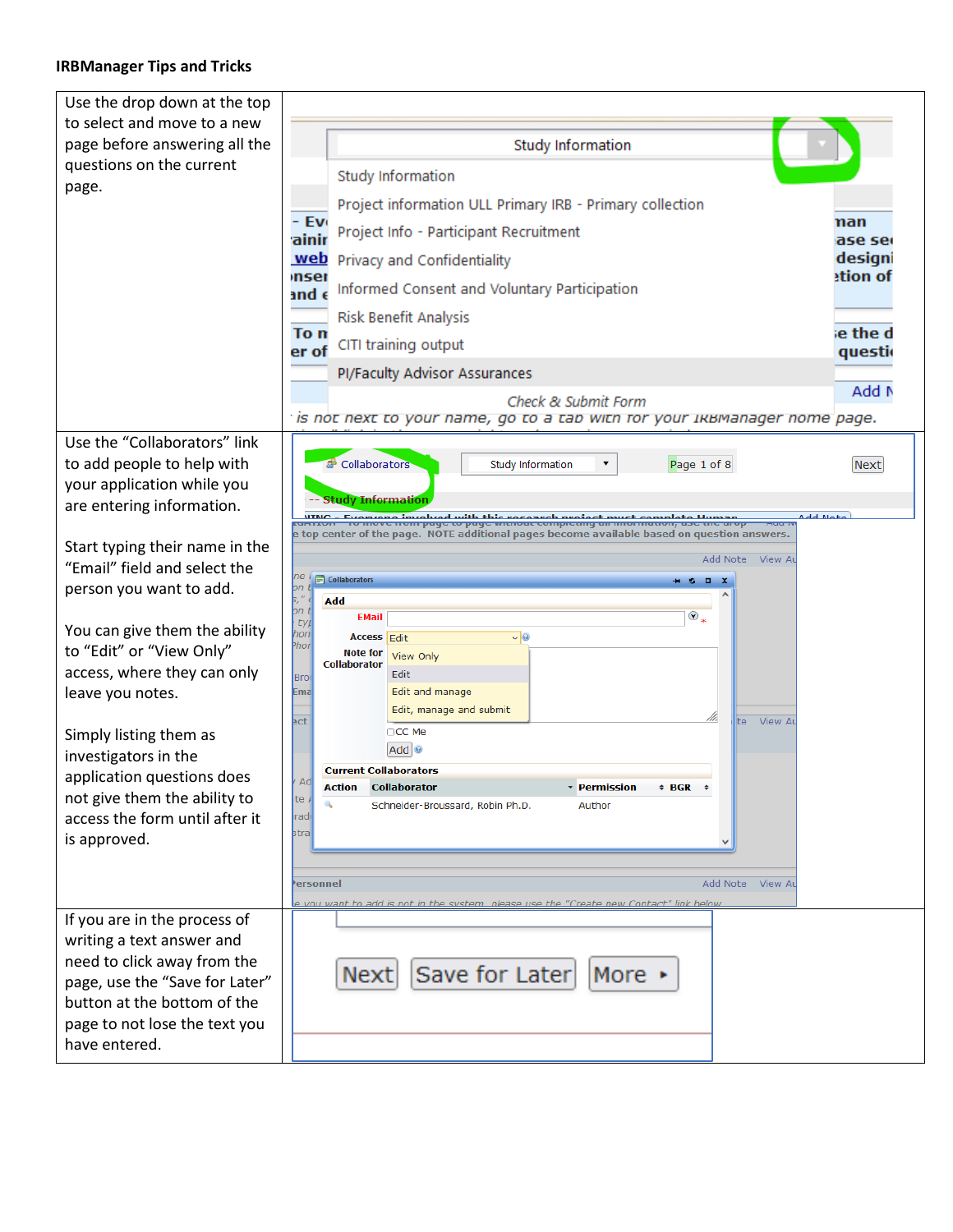## **IRBManager Tips and Tricks**

| Use the drop down at the top                             |                                                                                                                                                      |                     |
|----------------------------------------------------------|------------------------------------------------------------------------------------------------------------------------------------------------------|---------------------|
| to select and move to a new                              |                                                                                                                                                      |                     |
| page before answering all the                            | <b>Study Information</b>                                                                                                                             |                     |
| questions on the current                                 | Study Information                                                                                                                                    |                     |
| page.                                                    | Project information ULL Primary IRB - Primary collection                                                                                             |                     |
|                                                          | - Ev                                                                                                                                                 | nan                 |
|                                                          | Project Info - Participant Recruitment<br>ainir                                                                                                      | ase se              |
|                                                          | web<br>Privacy and Confidentiality<br>mser                                                                                                           | designi<br>etion of |
|                                                          | Informed Consent and Voluntary Participation<br>and $\epsilon$                                                                                       |                     |
|                                                          | <b>Risk Benefit Analysis</b><br>To n                                                                                                                 | e the d             |
|                                                          | CITI training output<br>er of                                                                                                                        | questio             |
|                                                          | <b>Pl/Faculty Advisor Assurances</b>                                                                                                                 |                     |
|                                                          | Check & Submit Form                                                                                                                                  | Add N               |
|                                                          | is not next to your name, go to a tap with for your Iквмаnager nome page. '                                                                          |                     |
| Use the "Collaborators" link                             |                                                                                                                                                      |                     |
| to add people to help with                               | Collaborators<br><b>Study Information</b><br>Page 1 of 8                                                                                             | <b>Next</b>         |
| your application while you                               | -- Study Information                                                                                                                                 |                     |
| are entering information.                                | <u>Evanzana involved with this research project must complete Human.</u><br>To move nom page to page witnout completing an information, use the arop | <b>Add Not</b>      |
| Start typing their name in the                           | e top center of the page.  NOTE additional pages become available based on question answers.                                                         |                     |
| "Email" field and select the                             | Add Note View Au                                                                                                                                     |                     |
| person you want to add.                                  | ne<br>Collaborators<br>$\Box$<br>$+1$<br>þn                                                                                                          |                     |
|                                                          | þ,<br>Add<br>on t<br>$\odot$ .<br><b>EMail</b><br>typ                                                                                                |                     |
| You can give them the ability                            | hon<br><b>Access</b> Edit<br>$\vee$ 0<br>Phor                                                                                                        |                     |
| to "Edit" or "View Only"                                 | <b>Note for</b><br>View Only<br><b>Collaborator</b>                                                                                                  |                     |
| access, where they can only                              | Edit<br>Bro                                                                                                                                          |                     |
| leave you notes.                                         | Edit and manage<br>Ema<br>Edit, manage and submit                                                                                                    |                     |
| Simply listing them as                                   | ect<br>View Au<br>lte i<br>OCC Me                                                                                                                    |                     |
| investigators in the                                     | $Add \, ②$                                                                                                                                           |                     |
| application questions does                               | <b>Current Collaborators</b><br>Adl                                                                                                                  |                     |
| not give them the ability to                             | <b>Action Collaborator</b><br>∗ Permission → BGR<br>ite A<br>Q                                                                                       |                     |
| access the form until after it                           | Author<br>Schneider-Broussard, Robin Ph.D.<br>iradil                                                                                                 |                     |
| is approved.                                             | strall                                                                                                                                               |                     |
|                                                          |                                                                                                                                                      |                     |
|                                                          | Add Note View Au<br>Personnel                                                                                                                        |                     |
|                                                          | e you want to add is not in the system, please use the "Create new Contact" link below                                                               |                     |
| If you are in the process of                             |                                                                                                                                                      |                     |
| writing a text answer and<br>need to click away from the |                                                                                                                                                      |                     |
| page, use the "Save for Later"                           | Save for Later<br>More $\rightarrow$<br>Next                                                                                                         |                     |
| button at the bottom of the                              |                                                                                                                                                      |                     |
| page to not lose the text you                            |                                                                                                                                                      |                     |
| have entered.                                            |                                                                                                                                                      |                     |
|                                                          |                                                                                                                                                      |                     |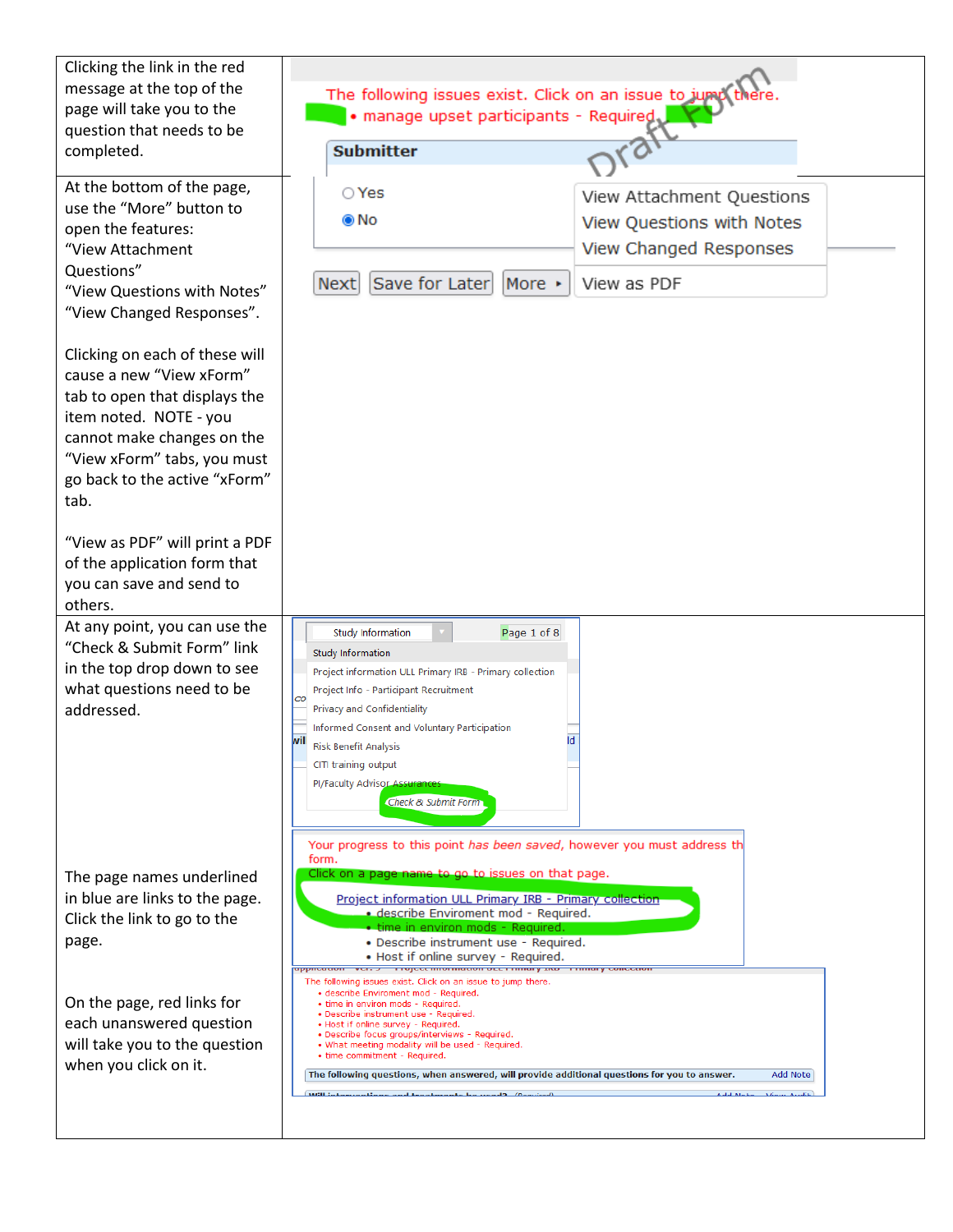| Clicking the link in the red<br>message at the top of the<br>page will take you to the<br>question that needs to be<br>completed.                                                                                           | The following issues exist. Click on an issue to jump there<br>· manage upset participants - Required,<br>ran<br><b>Submitter</b>                                                                                                                                                                                                                                                                                                                                        |  |
|-----------------------------------------------------------------------------------------------------------------------------------------------------------------------------------------------------------------------------|--------------------------------------------------------------------------------------------------------------------------------------------------------------------------------------------------------------------------------------------------------------------------------------------------------------------------------------------------------------------------------------------------------------------------------------------------------------------------|--|
|                                                                                                                                                                                                                             |                                                                                                                                                                                                                                                                                                                                                                                                                                                                          |  |
| At the bottom of the page,<br>use the "More" button to<br>open the features:<br>"View Attachment<br>Questions"<br>"View Questions with Notes"<br>"View Changed Responses".                                                  | $\bigcirc$ Yes<br>View Attachment Questions<br>⊚ No<br>View Questions with Notes<br>View Changed Responses<br>Save for Later<br>More $\star$<br>View as PDF<br><b>Next</b>                                                                                                                                                                                                                                                                                               |  |
| Clicking on each of these will<br>cause a new "View xForm"<br>tab to open that displays the<br>item noted. NOTE - you<br>cannot make changes on the<br>"View xForm" tabs, you must<br>go back to the active "xForm"<br>tab. |                                                                                                                                                                                                                                                                                                                                                                                                                                                                          |  |
| "View as PDF" will print a PDF<br>of the application form that<br>you can save and send to<br>others.                                                                                                                       |                                                                                                                                                                                                                                                                                                                                                                                                                                                                          |  |
| At any point, you can use the<br>"Check & Submit Form" link<br>in the top drop down to see<br>what questions need to be<br>addressed.                                                                                       | Page 1 of 8<br>Study Information<br><b>Study Information</b><br>Project information ULL Primary IRB - Primary collection<br>Project Info - Participant Recruitment<br>CO<br><b>Privacy and Confidentiality</b><br>Informed Consent and Voluntary Participation<br>Id<br>wil<br>Risk Benefit Analysis<br>CITI training output<br>Pl/Faculty Advisor Assurances<br>Check & Submit Form<br>Your progress to this point has been saved, however you must address th<br>form. |  |
| The page names underlined<br>in blue are links to the page.<br>Click the link to go to the<br>page.                                                                                                                         | Click on a page name to go to issues on that page.<br>Project information ULL Primary IRB - Primary collection<br>· describe Enviroment mod - Required.<br>· time in environ mods - Required.<br>• Describe instrument use - Required.<br>• Host if online survey - Required.<br>Troject information out raining and a raining concern<br>abbucación xerro<br>The following issues exist. Click on an issue to jump there.                                               |  |
| On the page, red links for<br>each unanswered question<br>will take you to the question<br>when you click on it.                                                                                                            | · describe Enviroment mod - Required.<br>• time in environ mods - Required.<br>· Describe instrument use - Required.<br>• Host if online survey - Required.<br>• Describe focus groups/interviews - Required.<br>. What meeting modality will be used - Required.<br>• time commitment - Required.<br>The following questions, when answered, will provide additional questions for you to answer.<br>Add Note<br>18731134<br>Add Note<br>Monte Andit                    |  |